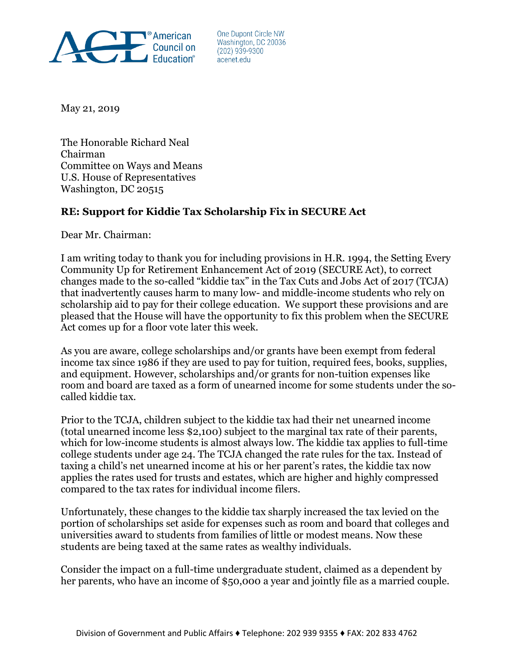

One Dupont Circle NW Washington, DC 20036  $(202)$  939-9300 acenet.edu

May 21, 2019

The Honorable Richard Neal Chairman Committee on Ways and Means U.S. House of Representatives Washington, DC 20515

## **RE: Support for Kiddie Tax Scholarship Fix in SECURE Act**

Dear Mr. Chairman:

I am writing today to thank you for including provisions in H.R. 1994, the Setting Every Community Up for Retirement Enhancement Act of 2019 (SECURE Act), to correct changes made to the so-called "kiddie tax" in the Tax Cuts and Jobs Act of 2017 (TCJA) that inadvertently causes harm to many low- and middle-income students who rely on scholarship aid to pay for their college education. We support these provisions and are pleased that the House will have the opportunity to fix this problem when the SECURE Act comes up for a floor vote later this week.

As you are aware, college scholarships and/or grants have been exempt from federal income tax since 1986 if they are used to pay for tuition, required fees, books, supplies, and equipment. However, scholarships and/or grants for non-tuition expenses like room and board are taxed as a form of unearned income for some students under the socalled kiddie tax.

Prior to the TCJA, children subject to the kiddie tax had their net unearned income (total unearned income less \$2,100) subject to the marginal tax rate of their parents, which for low-income students is almost always low. The kiddie tax applies to full-time college students under age 24. The TCJA changed the rate rules for the tax. Instead of taxing a child's net unearned income at his or her parent's rates, the kiddie tax now applies the rates used for trusts and estates, which are higher and highly compressed compared to the tax rates for individual income filers.

Unfortunately, these changes to the kiddie tax sharply increased the tax levied on the portion of scholarships set aside for expenses such as room and board that colleges and universities award to students from families of little or modest means. Now these students are being taxed at the same rates as wealthy individuals.

Consider the impact on a full-time undergraduate student, claimed as a dependent by her parents, who have an income of \$50,000 a year and jointly file as a married couple.